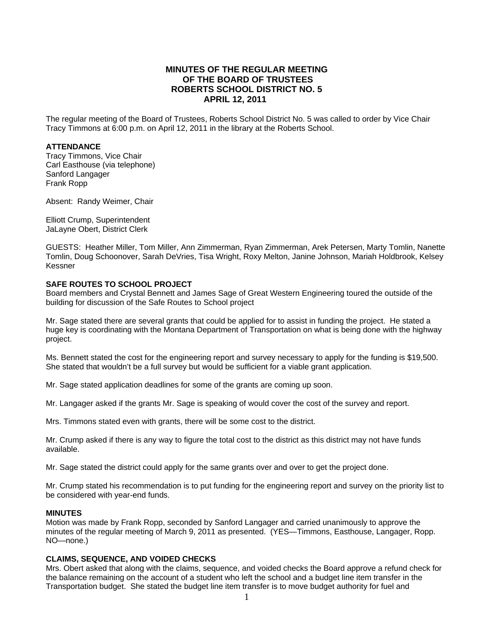# **MINUTES OF THE REGULAR MEETING OF THE BOARD OF TRUSTEES ROBERTS SCHOOL DISTRICT NO. 5 APRIL 12, 2011**

The regular meeting of the Board of Trustees, Roberts School District No. 5 was called to order by Vice Chair Tracy Timmons at 6:00 p.m. on April 12, 2011 in the library at the Roberts School.

### **ATTENDANCE**

Tracy Timmons, Vice Chair Carl Easthouse (via telephone) Sanford Langager Frank Ropp

Absent: Randy Weimer, Chair

Elliott Crump, Superintendent JaLayne Obert, District Clerk

GUESTS: Heather Miller, Tom Miller, Ann Zimmerman, Ryan Zimmerman, Arek Petersen, Marty Tomlin, Nanette Tomlin, Doug Schoonover, Sarah DeVries, Tisa Wright, Roxy Melton, Janine Johnson, Mariah Holdbrook, Kelsey Kessner

### **SAFE ROUTES TO SCHOOL PROJECT**

Board members and Crystal Bennett and James Sage of Great Western Engineering toured the outside of the building for discussion of the Safe Routes to School project

Mr. Sage stated there are several grants that could be applied for to assist in funding the project. He stated a huge key is coordinating with the Montana Department of Transportation on what is being done with the highway project.

Ms. Bennett stated the cost for the engineering report and survey necessary to apply for the funding is \$19,500. She stated that wouldn't be a full survey but would be sufficient for a viable grant application.

Mr. Sage stated application deadlines for some of the grants are coming up soon.

Mr. Langager asked if the grants Mr. Sage is speaking of would cover the cost of the survey and report.

Mrs. Timmons stated even with grants, there will be some cost to the district.

Mr. Crump asked if there is any way to figure the total cost to the district as this district may not have funds available.

Mr. Sage stated the district could apply for the same grants over and over to get the project done.

Mr. Crump stated his recommendation is to put funding for the engineering report and survey on the priority list to be considered with year-end funds.

### **MINUTES**

Motion was made by Frank Ropp, seconded by Sanford Langager and carried unanimously to approve the minutes of the regular meeting of March 9, 2011 as presented. (YES—Timmons, Easthouse, Langager, Ropp. NO—none.)

### **CLAIMS, SEQUENCE, AND VOIDED CHECKS**

Mrs. Obert asked that along with the claims, sequence, and voided checks the Board approve a refund check for the balance remaining on the account of a student who left the school and a budget line item transfer in the Transportation budget. She stated the budget line item transfer is to move budget authority for fuel and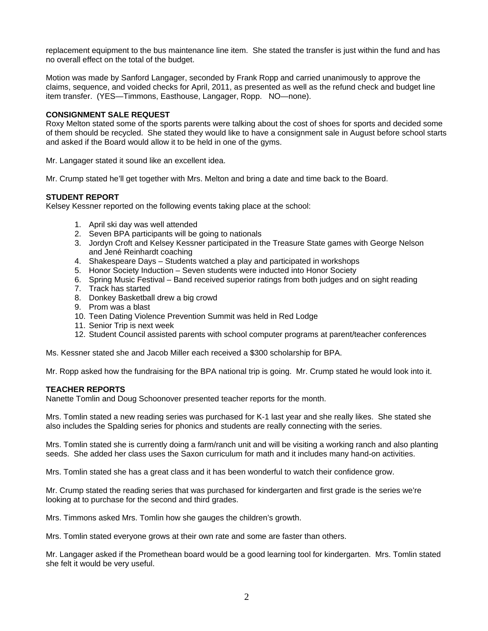replacement equipment to the bus maintenance line item. She stated the transfer is just within the fund and has no overall effect on the total of the budget.

Motion was made by Sanford Langager, seconded by Frank Ropp and carried unanimously to approve the claims, sequence, and voided checks for April, 2011, as presented as well as the refund check and budget line item transfer. (YES—Timmons, Easthouse, Langager, Ropp. NO—none).

### **CONSIGNMENT SALE REQUEST**

Roxy Melton stated some of the sports parents were talking about the cost of shoes for sports and decided some of them should be recycled. She stated they would like to have a consignment sale in August before school starts and asked if the Board would allow it to be held in one of the gyms.

Mr. Langager stated it sound like an excellent idea.

Mr. Crump stated he'll get together with Mrs. Melton and bring a date and time back to the Board.

## **STUDENT REPORT**

Kelsey Kessner reported on the following events taking place at the school:

- 1. April ski day was well attended
- 2. Seven BPA participants will be going to nationals
- 3. Jordyn Croft and Kelsey Kessner participated in the Treasure State games with George Nelson and Jené Reinhardt coaching
- 4. Shakespeare Days Students watched a play and participated in workshops
- 5. Honor Society Induction Seven students were inducted into Honor Society
- 6. Spring Music Festival Band received superior ratings from both judges and on sight reading
- 7. Track has started
- 8. Donkey Basketball drew a big crowd
- 9. Prom was a blast
- 10. Teen Dating Violence Prevention Summit was held in Red Lodge
- 11. Senior Trip is next week
- 12. Student Council assisted parents with school computer programs at parent/teacher conferences

Ms. Kessner stated she and Jacob Miller each received a \$300 scholarship for BPA.

Mr. Ropp asked how the fundraising for the BPA national trip is going. Mr. Crump stated he would look into it.

## **TEACHER REPORTS**

Nanette Tomlin and Doug Schoonover presented teacher reports for the month.

Mrs. Tomlin stated a new reading series was purchased for K-1 last year and she really likes. She stated she also includes the Spalding series for phonics and students are really connecting with the series.

Mrs. Tomlin stated she is currently doing a farm/ranch unit and will be visiting a working ranch and also planting seeds. She added her class uses the Saxon curriculum for math and it includes many hand-on activities.

Mrs. Tomlin stated she has a great class and it has been wonderful to watch their confidence grow.

Mr. Crump stated the reading series that was purchased for kindergarten and first grade is the series we're looking at to purchase for the second and third grades.

Mrs. Timmons asked Mrs. Tomlin how she gauges the children's growth.

Mrs. Tomlin stated everyone grows at their own rate and some are faster than others.

Mr. Langager asked if the Promethean board would be a good learning tool for kindergarten. Mrs. Tomlin stated she felt it would be very useful.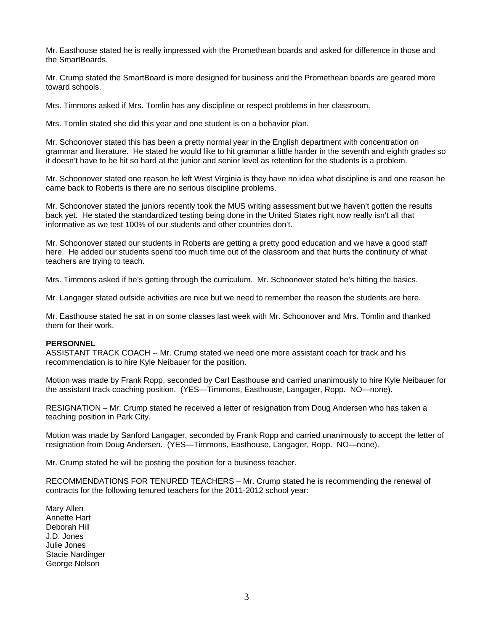Mr. Easthouse stated he is really impressed with the Promethean boards and asked for difference in those and the SmartBoards.

Mr. Crump stated the SmartBoard is more designed for business and the Promethean boards are geared more toward schools.

Mrs. Timmons asked if Mrs. Tomlin has any discipline or respect problems in her classroom.

Mrs. Tomlin stated she did this year and one student is on a behavior plan.

Mr. Schoonover stated this has been a pretty normal year in the English department with concentration on grammar and literature. He stated he would like to hit grammar a little harder in the seventh and eighth grades so it doesn't have to be hit so hard at the junior and senior level as retention for the students is a problem.

Mr. Schoonover stated one reason he left West Virginia is they have no idea what discipline is and one reason he came back to Roberts is there are no serious discipline problems.

Mr. Schoonover stated the juniors recently took the MUS writing assessment but we haven't gotten the results back yet. He stated the standardized testing being done in the United States right now really isn't all that informative as we test 100% of our students and other countries don't.

Mr. Schoonover stated our students in Roberts are getting a pretty good education and we have a good staff here. He added our students spend too much time out of the classroom and that hurts the continuity of what teachers are trying to teach.

Mrs. Timmons asked if he's getting through the curriculum. Mr. Schoonover stated he's hitting the basics.

Mr. Langager stated outside activities are nice but we need to remember the reason the students are here.

Mr. Easthouse stated he sat in on some classes last week with Mr. Schoonover and Mrs. Tomlin and thanked them for their work.

### **PERSONNEL**

ASSISTANT TRACK COACH -- Mr. Crump stated we need one more assistant coach for track and his recommendation is to hire Kyle Neibauer for the position.

Motion was made by Frank Ropp, seconded by Carl Easthouse and carried unanimously to hire Kyle Neibauer for the assistant track coaching position. (YES—Timmons, Easthouse, Langager, Ropp. NO—none).

RESIGNATION – Mr. Crump stated he received a letter of resignation from Doug Andersen who has taken a teaching position in Park City.

Motion was made by Sanford Langager, seconded by Frank Ropp and carried unanimously to accept the letter of resignation from Doug Andersen. (YES—Timmons, Easthouse, Langager, Ropp. NO—none).

Mr. Crump stated he will be posting the position for a business teacher.

RECOMMENDATIONS FOR TENURED TEACHERS – Mr. Crump stated he is recommending the renewal of contracts for the following tenured teachers for the 2011-2012 school year:

Mary Allen Annette Hart Deborah Hill J.D. Jones Julie Jones Stacie Nardinger George Nelson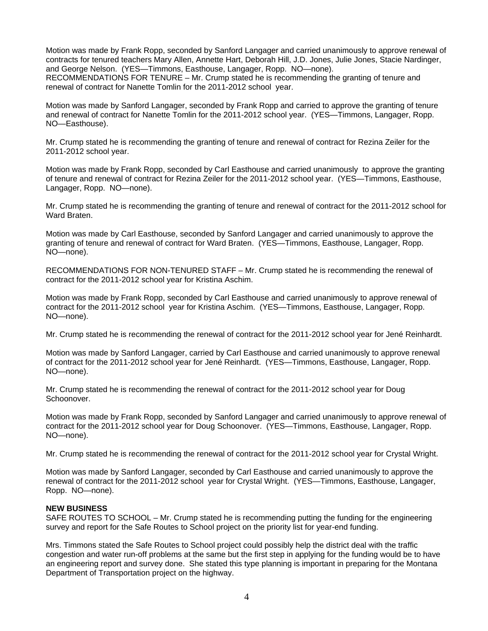Motion was made by Frank Ropp, seconded by Sanford Langager and carried unanimously to approve renewal of contracts for tenured teachers Mary Allen, Annette Hart, Deborah Hill, J.D. Jones, Julie Jones, Stacie Nardinger, and George Nelson. (YES—Timmons, Easthouse, Langager, Ropp. NO—none). RECOMMENDATIONS FOR TENURE – Mr. Crump stated he is recommending the granting of tenure and renewal of contract for Nanette Tomlin for the 2011-2012 school year.

Motion was made by Sanford Langager, seconded by Frank Ropp and carried to approve the granting of tenure and renewal of contract for Nanette Tomlin for the 2011-2012 school year. (YES—Timmons, Langager, Ropp. NO—Easthouse).

Mr. Crump stated he is recommending the granting of tenure and renewal of contract for Rezina Zeiler for the 2011-2012 school year.

Motion was made by Frank Ropp, seconded by Carl Easthouse and carried unanimously to approve the granting of tenure and renewal of contract for Rezina Zeiler for the 2011-2012 school year. (YES—Timmons, Easthouse, Langager, Ropp. NO—none).

Mr. Crump stated he is recommending the granting of tenure and renewal of contract for the 2011-2012 school for Ward Braten.

Motion was made by Carl Easthouse, seconded by Sanford Langager and carried unanimously to approve the granting of tenure and renewal of contract for Ward Braten. (YES—Timmons, Easthouse, Langager, Ropp. NO—none).

RECOMMENDATIONS FOR NON-TENURED STAFF – Mr. Crump stated he is recommending the renewal of contract for the 2011-2012 school year for Kristina Aschim.

Motion was made by Frank Ropp, seconded by Carl Easthouse and carried unanimously to approve renewal of contract for the 2011-2012 school year for Kristina Aschim. (YES—Timmons, Easthouse, Langager, Ropp. NO—none).

Mr. Crump stated he is recommending the renewal of contract for the 2011-2012 school year for Jené Reinhardt.

Motion was made by Sanford Langager, carried by Carl Easthouse and carried unanimously to approve renewal of contract for the 2011-2012 school year for Jené Reinhardt. (YES—Timmons, Easthouse, Langager, Ropp. NO—none).

Mr. Crump stated he is recommending the renewal of contract for the 2011-2012 school year for Doug Schoonover.

Motion was made by Frank Ropp, seconded by Sanford Langager and carried unanimously to approve renewal of contract for the 2011-2012 school year for Doug Schoonover. (YES—Timmons, Easthouse, Langager, Ropp. NO—none).

Mr. Crump stated he is recommending the renewal of contract for the 2011-2012 school year for Crystal Wright.

Motion was made by Sanford Langager, seconded by Carl Easthouse and carried unanimously to approve the renewal of contract for the 2011-2012 school year for Crystal Wright. (YES—Timmons, Easthouse, Langager, Ropp. NO—none).

## **NEW BUSINESS**

SAFE ROUTES TO SCHOOL – Mr. Crump stated he is recommending putting the funding for the engineering survey and report for the Safe Routes to School project on the priority list for year-end funding.

Mrs. Timmons stated the Safe Routes to School project could possibly help the district deal with the traffic congestion and water run-off problems at the same but the first step in applying for the funding would be to have an engineering report and survey done. She stated this type planning is important in preparing for the Montana Department of Transportation project on the highway.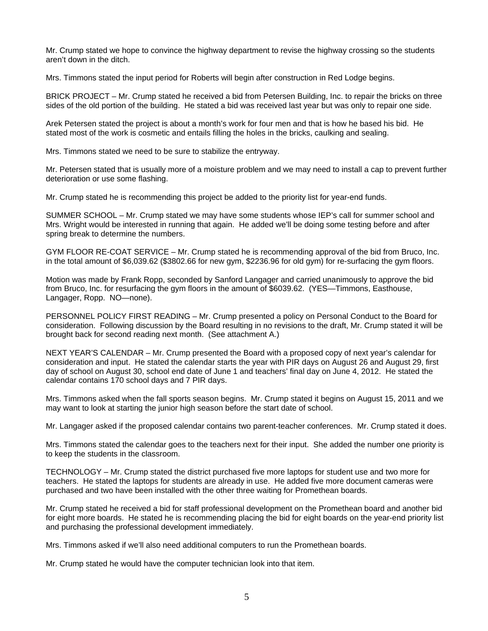Mr. Crump stated we hope to convince the highway department to revise the highway crossing so the students aren't down in the ditch.

Mrs. Timmons stated the input period for Roberts will begin after construction in Red Lodge begins.

BRICK PROJECT – Mr. Crump stated he received a bid from Petersen Building, Inc. to repair the bricks on three sides of the old portion of the building. He stated a bid was received last year but was only to repair one side.

Arek Petersen stated the project is about a month's work for four men and that is how he based his bid. He stated most of the work is cosmetic and entails filling the holes in the bricks, caulking and sealing.

Mrs. Timmons stated we need to be sure to stabilize the entryway.

Mr. Petersen stated that is usually more of a moisture problem and we may need to install a cap to prevent further deterioration or use some flashing.

Mr. Crump stated he is recommending this project be added to the priority list for year-end funds.

SUMMER SCHOOL – Mr. Crump stated we may have some students whose IEP's call for summer school and Mrs. Wright would be interested in running that again. He added we'll be doing some testing before and after spring break to determine the numbers.

GYM FLOOR RE-COAT SERVICE – Mr. Crump stated he is recommending approval of the bid from Bruco, Inc. in the total amount of \$6,039.62 (\$3802.66 for new gym, \$2236.96 for old gym) for re-surfacing the gym floors.

Motion was made by Frank Ropp, seconded by Sanford Langager and carried unanimously to approve the bid from Bruco, Inc. for resurfacing the gym floors in the amount of \$6039.62. (YES—Timmons, Easthouse, Langager, Ropp. NO—none).

PERSONNEL POLICY FIRST READING – Mr. Crump presented a policy on Personal Conduct to the Board for consideration. Following discussion by the Board resulting in no revisions to the draft, Mr. Crump stated it will be brought back for second reading next month. (See attachment A.)

NEXT YEAR'S CALENDAR – Mr. Crump presented the Board with a proposed copy of next year's calendar for consideration and input. He stated the calendar starts the year with PIR days on August 26 and August 29, first day of school on August 30, school end date of June 1 and teachers' final day on June 4, 2012. He stated the calendar contains 170 school days and 7 PIR days.

Mrs. Timmons asked when the fall sports season begins. Mr. Crump stated it begins on August 15, 2011 and we may want to look at starting the junior high season before the start date of school.

Mr. Langager asked if the proposed calendar contains two parent-teacher conferences. Mr. Crump stated it does.

Mrs. Timmons stated the calendar goes to the teachers next for their input. She added the number one priority is to keep the students in the classroom.

TECHNOLOGY – Mr. Crump stated the district purchased five more laptops for student use and two more for teachers. He stated the laptops for students are already in use. He added five more document cameras were purchased and two have been installed with the other three waiting for Promethean boards.

Mr. Crump stated he received a bid for staff professional development on the Promethean board and another bid for eight more boards. He stated he is recommending placing the bid for eight boards on the year-end priority list and purchasing the professional development immediately.

Mrs. Timmons asked if we'll also need additional computers to run the Promethean boards.

Mr. Crump stated he would have the computer technician look into that item.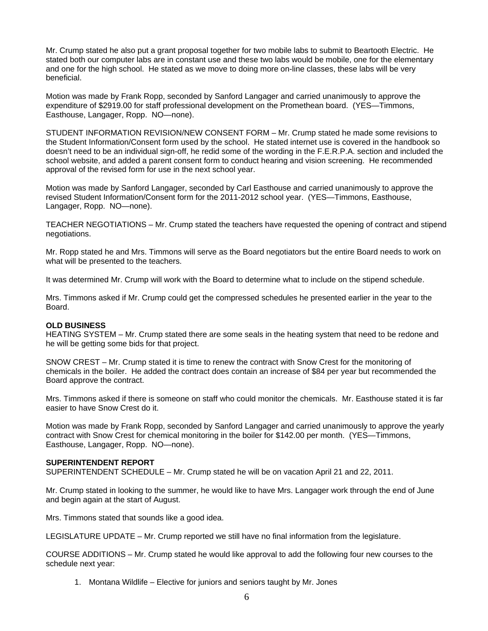Mr. Crump stated he also put a grant proposal together for two mobile labs to submit to Beartooth Electric. He stated both our computer labs are in constant use and these two labs would be mobile, one for the elementary and one for the high school. He stated as we move to doing more on-line classes, these labs will be very beneficial.

Motion was made by Frank Ropp, seconded by Sanford Langager and carried unanimously to approve the expenditure of \$2919.00 for staff professional development on the Promethean board. (YES—Timmons, Easthouse, Langager, Ropp. NO—none).

STUDENT INFORMATION REVISION/NEW CONSENT FORM – Mr. Crump stated he made some revisions to the Student Information/Consent form used by the school. He stated internet use is covered in the handbook so doesn't need to be an individual sign-off, he redid some of the wording in the F.E.R.P.A. section and included the school website, and added a parent consent form to conduct hearing and vision screening. He recommended approval of the revised form for use in the next school year.

Motion was made by Sanford Langager, seconded by Carl Easthouse and carried unanimously to approve the revised Student Information/Consent form for the 2011-2012 school year. (YES—Timmons, Easthouse, Langager, Ropp. NO—none).

TEACHER NEGOTIATIONS – Mr. Crump stated the teachers have requested the opening of contract and stipend negotiations.

Mr. Ropp stated he and Mrs. Timmons will serve as the Board negotiators but the entire Board needs to work on what will be presented to the teachers.

It was determined Mr. Crump will work with the Board to determine what to include on the stipend schedule.

Mrs. Timmons asked if Mr. Crump could get the compressed schedules he presented earlier in the year to the Board.

### **OLD BUSINESS**

HEATING SYSTEM – Mr. Crump stated there are some seals in the heating system that need to be redone and he will be getting some bids for that project.

SNOW CREST – Mr. Crump stated it is time to renew the contract with Snow Crest for the monitoring of chemicals in the boiler. He added the contract does contain an increase of \$84 per year but recommended the Board approve the contract.

Mrs. Timmons asked if there is someone on staff who could monitor the chemicals. Mr. Easthouse stated it is far easier to have Snow Crest do it.

Motion was made by Frank Ropp, seconded by Sanford Langager and carried unanimously to approve the yearly contract with Snow Crest for chemical monitoring in the boiler for \$142.00 per month. (YES—Timmons, Easthouse, Langager, Ropp. NO—none).

#### **SUPERINTENDENT REPORT**

SUPERINTENDENT SCHEDULE – Mr. Crump stated he will be on vacation April 21 and 22, 2011.

Mr. Crump stated in looking to the summer, he would like to have Mrs. Langager work through the end of June and begin again at the start of August.

Mrs. Timmons stated that sounds like a good idea.

LEGISLATURE UPDATE – Mr. Crump reported we still have no final information from the legislature.

COURSE ADDITIONS – Mr. Crump stated he would like approval to add the following four new courses to the schedule next year:

1. Montana Wildlife – Elective for juniors and seniors taught by Mr. Jones